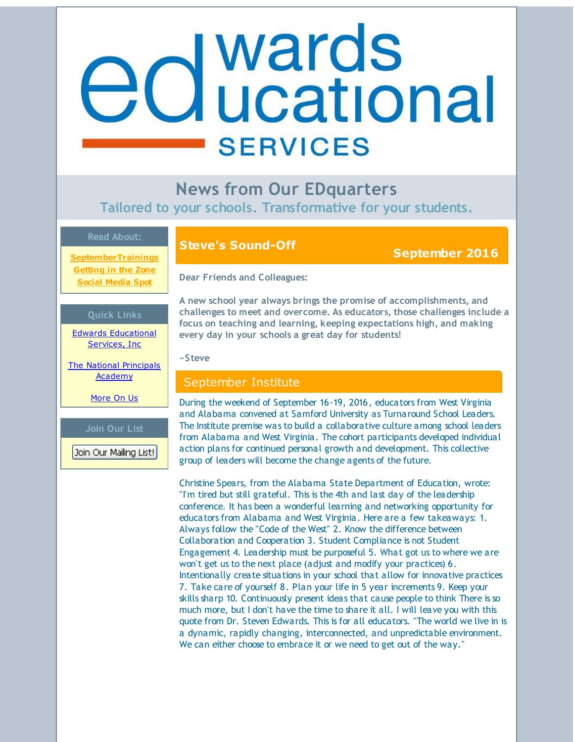# <span id="page-0-0"></span>**d** wards<br>**d** ucational **SERVICES**

**News from Our EDquarters Tailored to your schools. Transformative for your students.**

#### **Read About:**

**[SeptemberTrainings](#page-0-0) [Getting](#page-0-0) in the Zone Social [Media](#page-0-0) Spot**

#### **Quick Links**

Edwards [Educational](http://r20.rs6.net/tn.jsp?f=001rPrOhrB476FjUNrrdnNQvd0hLR1LtNv03x6U6Nx4s2aTCiqKSE_XJaIvJA6ed19_9WihVTnVYiMtCi46agcECYXlUw4WwQxXAlnCcHRr4cio1L9x4jiQVEoeEsMzIlWfAfe_0qcywGgnES7WbUfIizizN1PmmME3OvRZKzHREwEKNxQWASmXRg==&c=&ch=) Services, Inc

The National [Principals](http://r20.rs6.net/tn.jsp?f=001rPrOhrB476FjUNrrdnNQvd0hLR1LtNv03x6U6Nx4s2aTCiqKSE_XJfd0cl1rCgQ_UWevAkLP-SPzuKfN6B4e3onQSqz7iklQpe0eELyvPInmTZO3yrLWwFTo0lQZqAd9uKf0R6Ge3mjUP4Pb2MURBzK_Us5w05iqw4tWcjOFYpdhL-1vwDQzg4NbzmOQJowN&c=&ch=) Academy

[More](http://r20.rs6.net/tn.jsp?f=001rPrOhrB476FjUNrrdnNQvd0hLR1LtNv03x6U6Nx4s2aTCiqKSE_XJTBBSaXFRNcP4DIBQUyF7Az5Zh091umAtOszoGmFE8IF-FCQlQRqeeFSZ62WrUB7exRPSKd7D4lmNo2iCTCsgutN7xW7aQ7N4L6C3FLkSSk3QTeP93wP7mzcXG8GG-IaETCoMYUQTDDs&c=&ch=) On Us

**Join Our List**

Join Our Mailing List!

## **Steve's Sound-Off September <sup>2016</sup>**

**Dear Friends and Colleagues:**

**A new school year always brings the promise of accomplishments, and challenges to meet and overcome. As educators, those challenges include a focus on teaching and learning, keeping expectations high, and making every day in your schools a great day for students!**

#### **~Steve**

#### September Institute

During the weekend of September 16-19, 2016, educators from West Virginia and Alabama convened at Samford University as Turnaround School Leaders. The Institute premise was to build a collaborative culture among school leaders from Alabama and West Virginia. The cohort participants developed individual action plans for continued personal growth and development. This collective group of leaders will become the change agents of the future.

Christine Spears, from the Alabama State Department of Education, wrote: "I'm tired but still grateful. This is the 4th and last day of the leadership conference. It has been a wonderful learning and networking opportunity for educators from Alabama and West Virginia. Here are a few takeaways: 1. Always follow the "Code of the West" 2. Know the difference between Collaboration and Cooperation 3. Student Compliance is not Student Engagement 4. Leadership must be purposeful 5. What got us to where we are won't get us to the next place (adjust and modify your practices) 6. Intentionally create situations in your school that allow for innovative practices 7. Take care of yourself 8. Plan your life in 5 year increments 9. Keep your skills sharp 10. Continuously present ideas that cause people to think There is so much more, but I don't have the time to share it all. I will leave you with this quote from Dr. Steven Edwards. This is for all educators. "The world we live in is a dynamic, rapidly changing, interconnected, and unpredictable environment. We can either choose to embrace it or we need to get out of the way."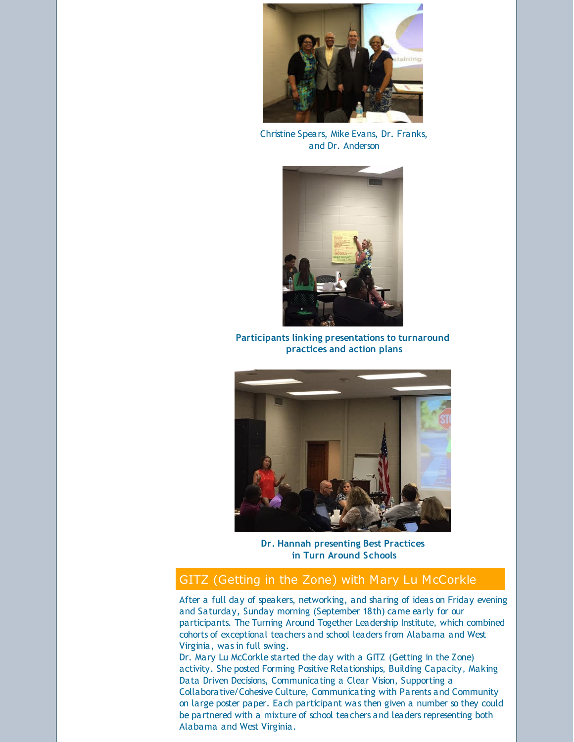

Christine Spears, Mike Evans, Dr. Franks, and Dr. Anderson



**Participants linking presentations to turnaround practices and action plans**



**Dr. Hannah presenting Best Practices in Turn Around Schools**

### GITZ (Getting in the Zone) with Mary Lu McCorkle

After a full day of speakers, networking, and sharing of ideas on Friday evening and Saturday, Sunday morning (September 18th) came early for our participants. The Turning Around Together Leadership Institute, which combined cohorts of exceptional teachers and school leaders from Alabama and West Virginia, was in full swing.

Dr. Mary Lu McCorkle started the day with a GITZ (Getting in the Zone) activity. She posted Forming Positive Relationships, Building Capacity, Making Data Driven Decisions, Communicating a Clear Vision, Supporting a Collaborative/Cohesive Culture, Communicating with Parents and Community on large poster paper. Each participant was then given a number so they could be partnered with a mixture of school teachers and leaders representing both Alabama and West Virginia.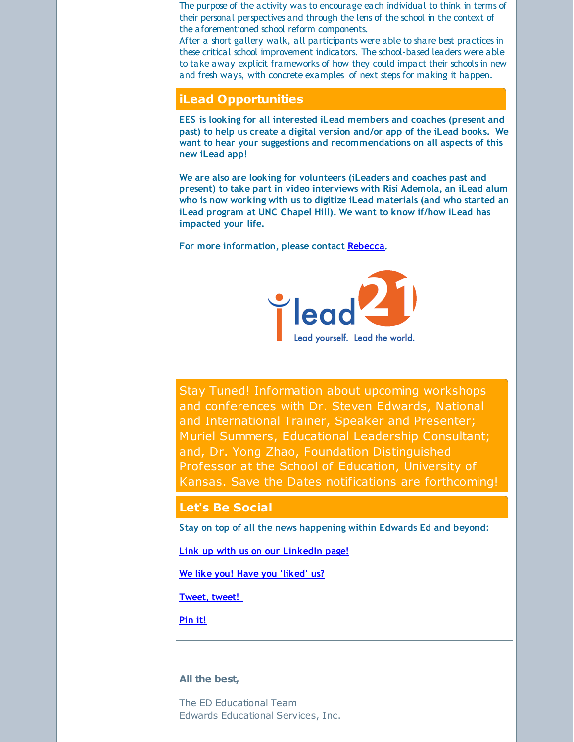The purpose of the activity was to encourage each individual to think in terms of their personal perspectives and through the lens of the school in the context of the aforementioned school reform components.

After a short gallery walk, all participants were able to share best practices in these critical school improvement indicators. The school-based leaders were able to take away explicit frameworks of how they could impact their schools in new and fresh ways, with concrete examples of next steps for making it happen.

#### **iLead Opportunities**

**EES is looking for all interested iLead members and coaches (present and past) to help us create a digital version and/or app of the iLead books. We want to hear your suggestions and recommendations on all aspects of this new iLead app!**

**We are also are looking for volunteers (iLeaders and coaches past and present) to take part in video interviews with Risi Ademola, an iLead alum who is now working with us to digitize iLead materials (and who started an iLead program at UNC Chapel Hill). We want to know if/how iLead has impacted your life.**

**For more information, please contact [Rebecca](mailto:rebecca@edwardsedservices.com).**



Stay Tuned! Information about upcoming workshops and conferences with Dr. Steven Edwards, National and International Trainer, Speaker and Presenter; Muriel Summers, Educational Leadership Consultant; and, Dr. Yong Zhao, Foundation Distinguished Professor at the School of Education, University of Kansas. Save the Dates notifications are forthcoming!

#### **Let's Be Social**

**Stay on top of all the news happening within Edwards Ed and beyond:**

**Link up with us on our [LinkedIn](http://r20.rs6.net/tn.jsp?f=001rPrOhrB476FjUNrrdnNQvd0hLR1LtNv03x6U6Nx4s2aTCiqKSE_XJbiB2HlOtLf6fVMLErB0aC8bGI8MLHW00FS0hfTXKGAg_IGiW5019rJMbbnkyd6ZJBZDxQfr_9a-RmfXTKtRnO4nM847zfMiRNMmK6YsqVzhIyaS_gULJ8TkMGALBtO5zvwnByoI-FuMbYR43UdgA3_bJiNNctTqfd53bcBo9jiMxDqmTE-ttvM=&c=&ch=) page!**

**We like you! Have you ['liked'](http://r20.rs6.net/tn.jsp?f=001rPrOhrB476FjUNrrdnNQvd0hLR1LtNv03x6U6Nx4s2aTCiqKSE_XJXecI-7dvVuEhTIIBqv3vRjRGLNKjQkqSzq_Nw5sFhf_trh5CC6-zWpwgxg8gD0OEIit4F9eGqztKdXny-GYqO-yGCcfAVQBi89hwKwrHOfeF0PXIcYyPEJfeELjQwHXy1QIgRdc-ld4WC6957xn3yk=&c=&ch=) us?**

**[Tweet,](http://r20.rs6.net/tn.jsp?f=001rPrOhrB476FjUNrrdnNQvd0hLR1LtNv03x6U6Nx4s2aTCiqKSE_XJbiB2HlOtLf6gGoqdKL8QGQYNctCFXx3BC2rq0OPjB3lnS6p5DLm3OQhnmX3879UpcnNJybEpwXDZxUyJbeY8a27Q6H5AC67CNv0tExcUxThsZS36ZLN9PYq3opA6lMRBxKVsaHmfpop&c=&ch=) tweet!**

**[Pin](http://r20.rs6.net/tn.jsp?f=001rPrOhrB476FjUNrrdnNQvd0hLR1LtNv03x6U6Nx4s2aTCiqKSE_XJRTZwLozzitp8ozQMeH7uHKiH41pQZWGecXSGfNEEvTgCKMggM6ycS0406OJmQKiaFwlYpL4BnVNGQxQY8lNO8FYpJrUb6t0de7HiLlUDxPtgieuM_nFhXXiD9E4W1DYCNVRs8ac7yuS&c=&ch=) it!**

#### **All the best,**

The ED Educational Team Edwards Educational Services, Inc.